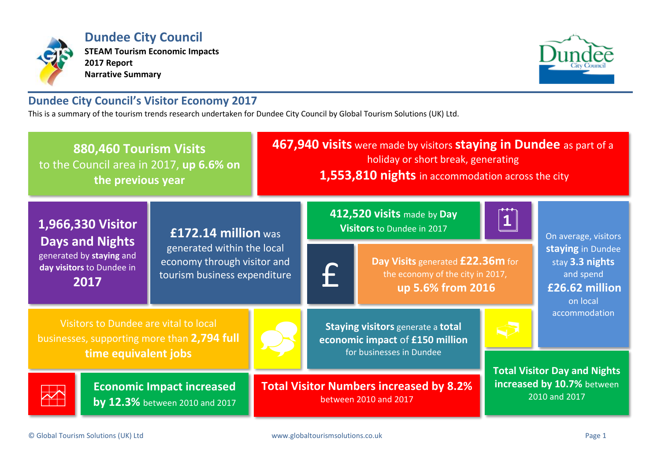

**Dundee City Council STEAM Tourism Economic Impacts 2017 Report Narrative Summary**



# **Dundee City Council's Visitor Economy 2017**

This is a summary of the tourism trends research undertaken for Dundee City Council by Global Tourism Solutions (UK) Ltd.

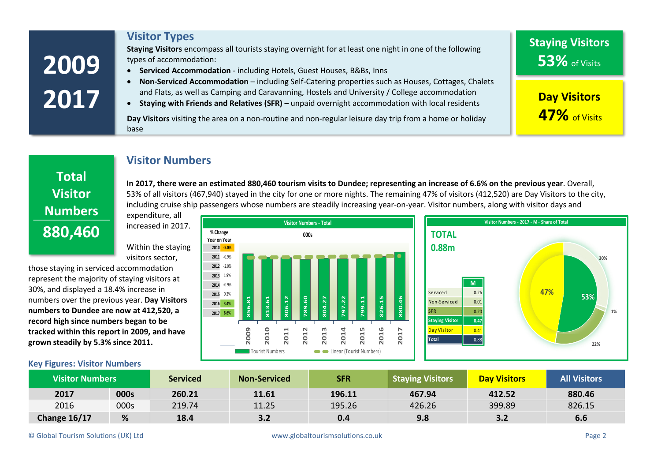| 2017           | and Flats, as well as Camping and Caravanning, Hostels and University / College accommodation<br><b>Day Visitors</b><br>Staying with Friends and Relatives (SFR) - unpaid overnight accommodation with local residents |                                                                                                                                                |              |                                             |  |  |  |
|----------------|------------------------------------------------------------------------------------------------------------------------------------------------------------------------------------------------------------------------|------------------------------------------------------------------------------------------------------------------------------------------------|--------------|---------------------------------------------|--|--|--|
|                | base                                                                                                                                                                                                                   | Day Visitors visiting the area on a non-routine and non-regular leisure day trip from a home or holiday                                        |              | 47% of Visits                               |  |  |  |
|                |                                                                                                                                                                                                                        |                                                                                                                                                |              |                                             |  |  |  |
|                | <b>Visitor Numbers</b>                                                                                                                                                                                                 |                                                                                                                                                |              |                                             |  |  |  |
| Total          |                                                                                                                                                                                                                        | In 2017, there were an estimated 880,460 tourism visits to Dundee; representing an increase of 6.6% on the previous year. Overall,             |              |                                             |  |  |  |
| <b>Visitor</b> |                                                                                                                                                                                                                        | 53% of all visitors (467,940) stayed in the city for one or more nights. The remaining 47% of visitors (412,520) are Day Visitors to the city, |              |                                             |  |  |  |
| <b>Numbers</b> | expenditure, all                                                                                                                                                                                                       | including cruise ship passengers whose numbers are steadily increasing year-on-year. Visitor numbers, along with visitor days and              |              |                                             |  |  |  |
|                | increased in 2017.                                                                                                                                                                                                     | <b>Visitor Numbers - Total</b>                                                                                                                 |              | Visitor Numbers - 2017 - M - Share of Total |  |  |  |
| 880,460        |                                                                                                                                                                                                                        | % Change<br>000s<br>Vaaran Vaar                                                                                                                | <b>TOTAL</b> |                                             |  |  |  |

**Staying Visitors** encompass all tourists staying overnight for at least one night in one of the following

• **Non-Serviced Accommodation** – including Self-Catering properties such as Houses, Cottages, Chalets and Flats, as well as Camping and Caravanning, Hostels and University / College accommodation

• **Serviced Accommodation** - including Hotels, Guest Houses, B&Bs, Inns

visitors sector, those staying in serviced accommodation represent the majority of staying visitors at

30%, and displayed a 18.4% increase in numbers over the previous year. **Day Visitors numbers to Dundee are now at 412,520, a record high since numbers began to be tracked within this report in 2009, and have grown steadily by 5.3% since 2011.**

Within the staying

**Visitor Types**

types of accommodation:





**Staying Visitors**

**53%** of Visits

| <b>Visitor Numbers</b> |      | <b>Serviced</b> | <b>Non-Serviced</b> | <b>SFR</b> | <b>Staying Visitors</b> | <b>Day Visitors</b> | <b>All Visitors</b> |
|------------------------|------|-----------------|---------------------|------------|-------------------------|---------------------|---------------------|
| 2017                   | 000s | 260.21          | 11.61               | 196.11     | 467.94                  | 412.52              | 880.46              |
| 2016                   | 000s | 219.74          | 11.25               | 195.26     | 426.26                  | 399.89              | 826.15              |
| Change 16/17           | %    | 18.4            | 3.2                 | 0.4        | 9.8                     | 3.2                 | 6.6                 |

© Global Tourism Solutions (UK) Ltd www.globaltourismsolutions.co.uk Page 2

**Key Figures: Visitor Numbers**

**2009**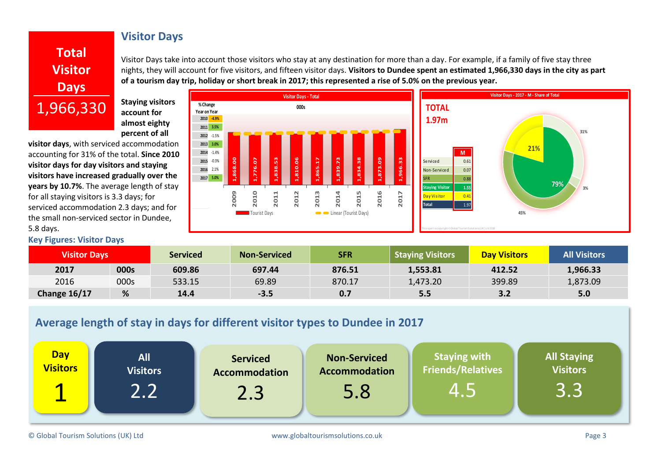# **Total**

### **Visitor Days**

**Visitor Days** 1,966,330 Visitor Days take into account those visitors who stay at any destination for more than a day. For example, if a family of five stay three nights, they will account for five visitors, and fifteen visitor days. **Visitors to Dundee spent an estimated 1,966,330 days in the city as part of a tourism day trip, holiday or short break in 2017; this represented a rise of 5.0% on the previous year.**

**Staying visitors account for almost eighty percent of all** 

**visitor days**, with serviced accommodation accounting for 31% of the total. **Since 2010 visitor days for day visitors and staying visitors have increased gradually over the years by 10.7%**. The average length of stay for all staying visitors is 3.3 days; for serviced accommodation 2.3 days; and for the small non-serviced sector in Dundee, 5.8 days.

### **Key Figures: Visitor Days**



| <b>Visitor Days</b> |      | <b>Serviced</b> | <b>Non-Serviced</b> | <b>SFR</b> | <b>Staying Visitors</b> | <b>Day Visitors</b> | <b>All Visitors</b> |
|---------------------|------|-----------------|---------------------|------------|-------------------------|---------------------|---------------------|
| 2017                | 000s | 609.86          | 697.44              | 876.51     | 1,553.81                | 412.52              | 1,966.33            |
| 2016                | 000s | 533.15          | 69.89               | 870.17     | 1,473.20                | 399.89              | 1,873.09            |
| Change 16/17        | %    | 14.4            | $-3.5$              | 0.7        | 5.5                     | 3.2                 | 5.0                 |

# **Average length of stay in days for different visitor types to Dundee in 2017**

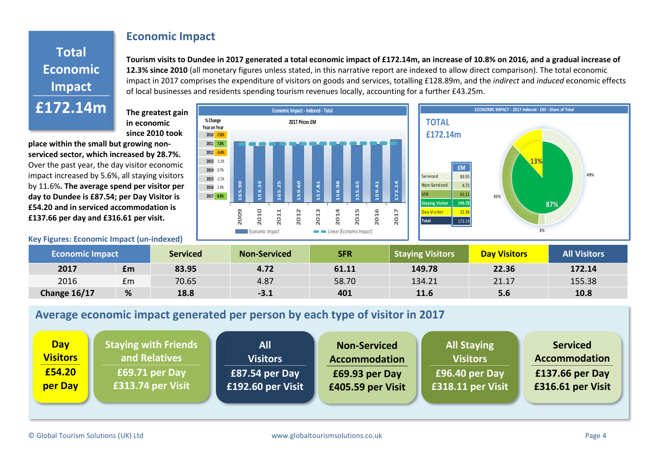### **Economic Impact**

# **Total Economic Impact £172.14m**

**Tourism visits to Dundee in 2017 generated a total economic impact of £172.14m, an increase of 10.8% on 2016, and a gradual increase of 12.3% since 2010** (all monetary figures unless stated, in this narrative report are indexed to allow direct comparison). The total economic impact in 2017 comprises the expenditure of visitors on goods and services, totalling £128.89m, and the *indirect* and *induced* economic effects of local businesses and residents spending tourism revenues locally, accounting for a further £43.25m.

**The greatest gain in economic since 2010 took** 

**place within the small but growing nonserviced sector, which increased by 28.7%.**  Over the past year, the day visitor economic impact increased by 5.6%, all staying visitors by 11.6%**. The average spend per visitor per day to Dundee is £87.54; per Day Visitor is £54.20 and in serviced accommodation is £137.66 per day and £316.61 per visit.**

#### **Key Figures: Economic Impact (un-indexed)**





| <b>Economic Impact</b> |    | <b>Serviced</b> | <b>Non-Serviced</b> | <b>SFR</b> | <b>Staying Visitors</b> | <b>Day Visitors</b> | <b>All Visitors</b> |
|------------------------|----|-----------------|---------------------|------------|-------------------------|---------------------|---------------------|
| 2017                   | £m | 83.95           | 4.72                | 61.11      | 149.78                  | 22.36               | 172.14              |
| 2016                   | £m | 70.65           | 4.87                | 58.70      | 134.21                  | 21.17               | 155.38              |
| Change 16/17           | %  | 18.8            | $-3.1$              | 401        | 11.6                    | 5.6                 | 10.8                |

# **Average economic impact generated per person by each type of visitor in 2017**

| <b>Day</b>      | <b>Staying with Friends</b> | <b>All</b>        | <b>Non-Serviced</b>  | <b>All Staying</b> | <b>Serviced</b>      |
|-----------------|-----------------------------|-------------------|----------------------|--------------------|----------------------|
| <b>Visitors</b> | and Relatives               | <b>Visitors</b>   | <b>Accommodation</b> | <b>Visitors</b>    | <b>Accommodation</b> |
| £54.20          | £69.71 per Day              | £87.54 per Day    | £69.93 per Day       | £96.40 per Day     | $£137.66$ per Day    |
| per Day         | £313.74 per Visit           | £192.60 per Visit | £405.59 per Visit    | £318.11 per Visit  | £316.61 per Visit    |